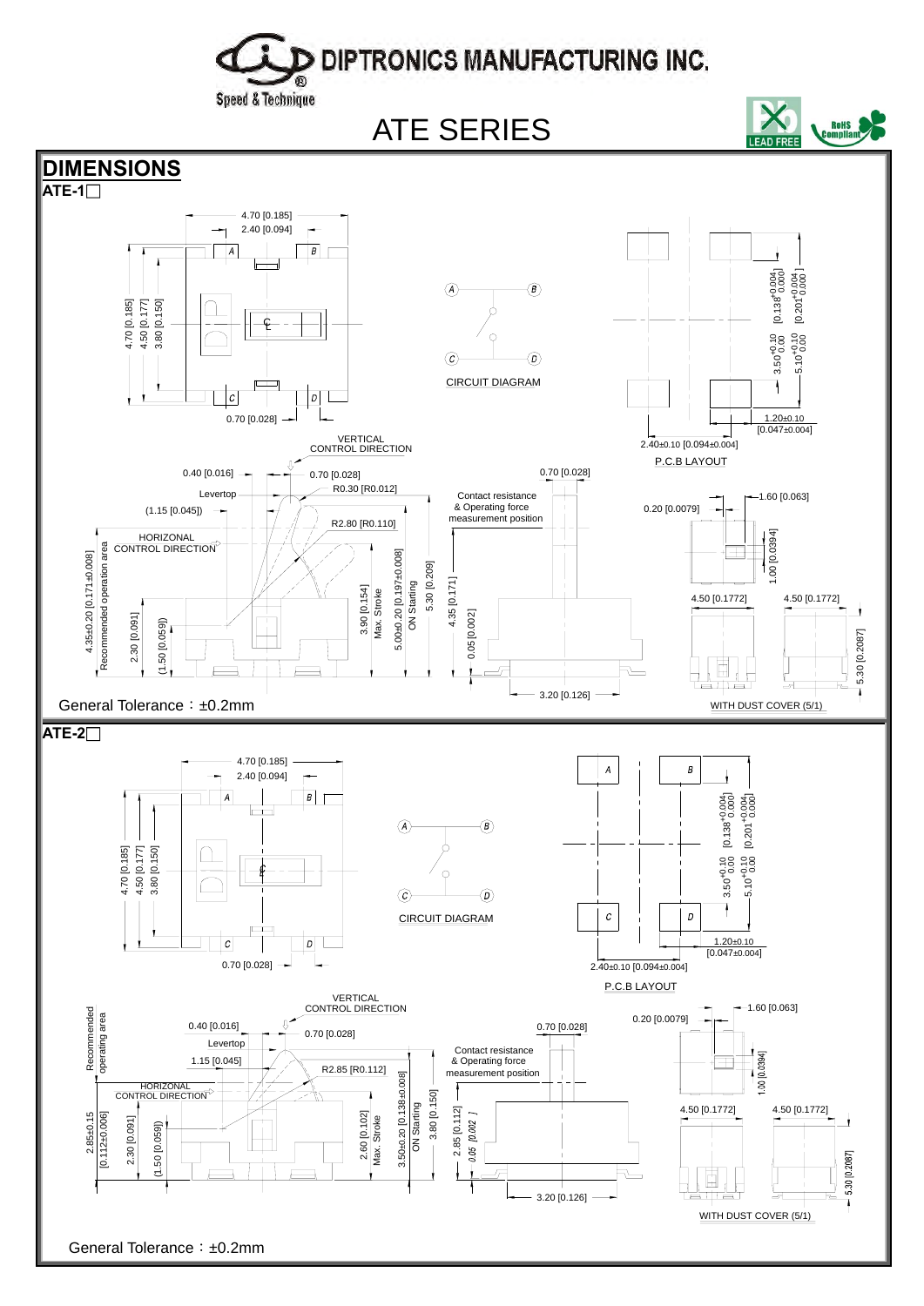## D DIPTRONICS MANUFACTURING INC.

Speed & Technique

ATE SERIES



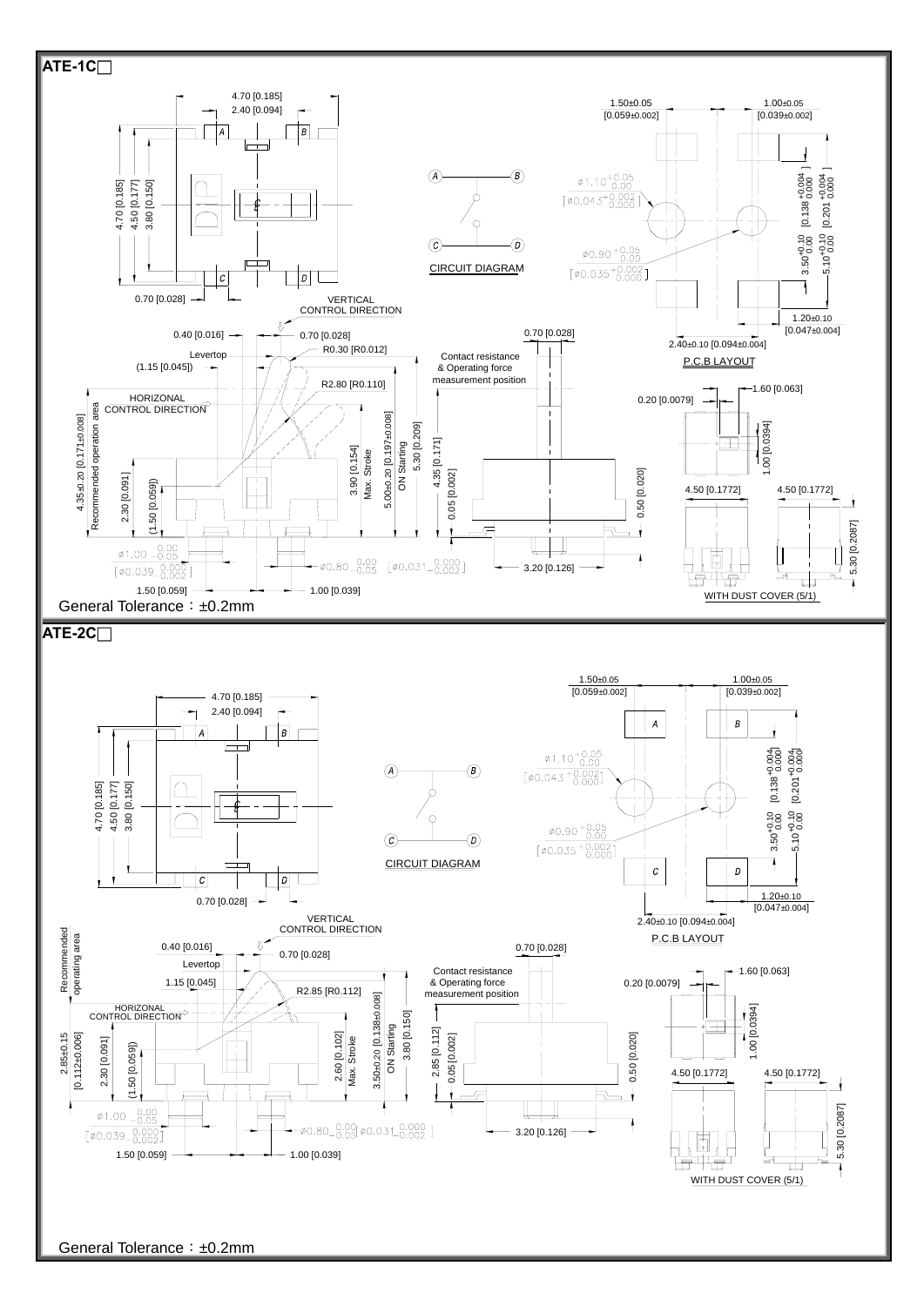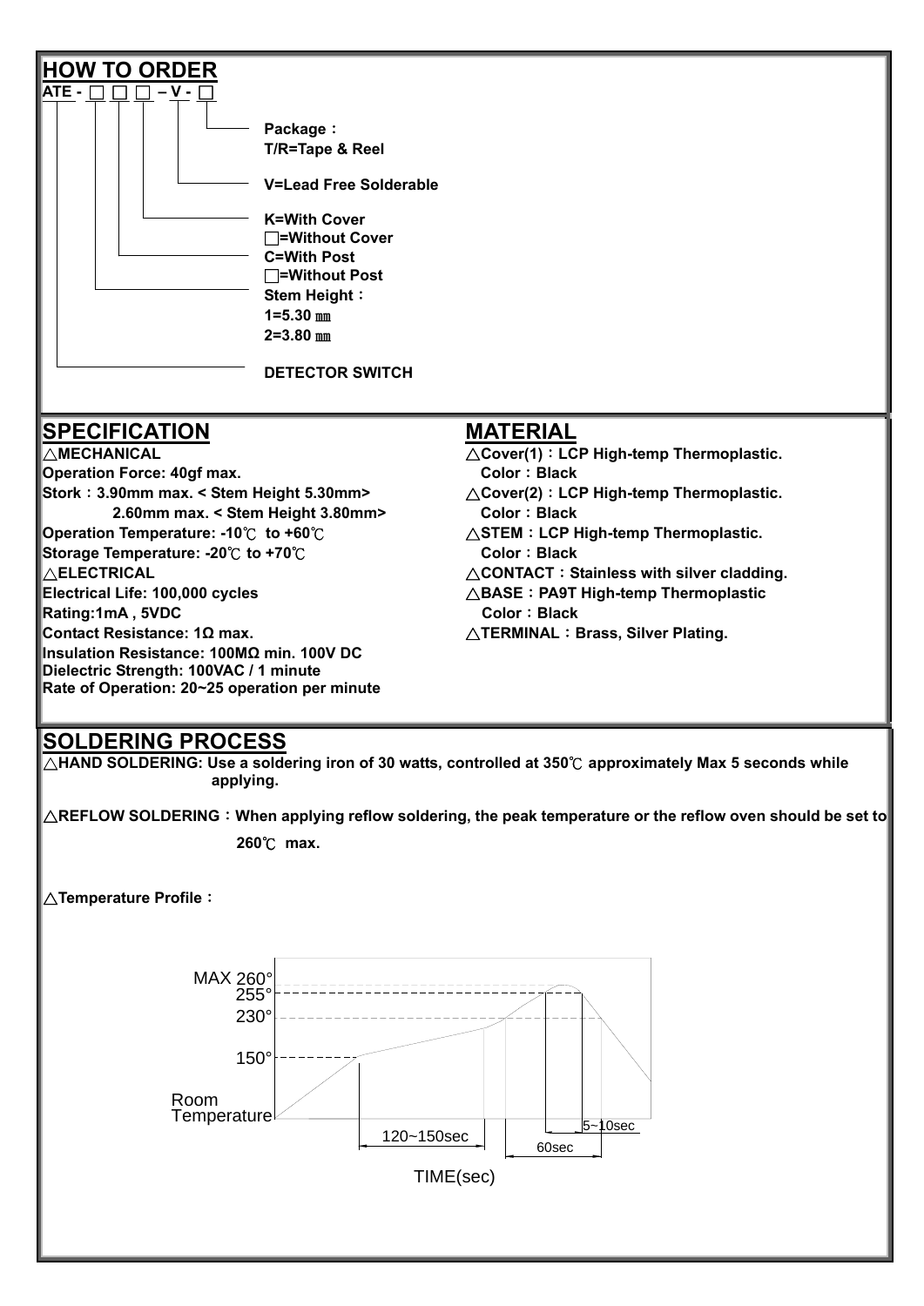| <b>HOW TO ORDER</b><br>ATE -<br>$-V -$<br>Package:<br>T/R=Tape & Reel<br><b>V=Lead Free Solderable</b><br><b>K=With Cover</b><br>$\Box$ =Without Cover<br><b>C=With Post</b><br>$\Box$ =Without Post<br><b>Stem Height:</b><br>$1 = 5.30$ mm<br>$2 = 3.80$ mm<br><b>DETECTOR SWITCH</b>                                                                                                                                                                                                                                                 |                                                                                                                                                                                                                                                                                                                                                                                                                                        |
|-----------------------------------------------------------------------------------------------------------------------------------------------------------------------------------------------------------------------------------------------------------------------------------------------------------------------------------------------------------------------------------------------------------------------------------------------------------------------------------------------------------------------------------------|----------------------------------------------------------------------------------------------------------------------------------------------------------------------------------------------------------------------------------------------------------------------------------------------------------------------------------------------------------------------------------------------------------------------------------------|
| <b>SPECIFICATION</b><br>$\triangle$ MECHANICAL<br><b>Operation Force: 40gf max.</b><br>Stork: 3.90mm max. < Stem Height 5.30mm><br>2.60mm max. < Stem Height 3.80mm><br><b>Operation Temperature: -10°C to +60°C</b><br>Storage Temperature: -20 $\degree$ C to +70 $\degree$ C<br>$\triangle$ ELECTRICAL<br>Electrical Life: 100,000 cycles<br>Rating:1mA, 5VDC<br>Contact Resistance: 1Ω max.<br>Insulation Resistance: 100MΩ min. 100V DC<br>Dielectric Strength: 100VAC / 1 minute<br>Rate of Operation: 20~25 operation per minute | <b>MATERIAL</b><br>$\triangle$ Cover(1): LCP High-temp Thermoplastic.<br><b>Color: Black</b><br>$\triangle$ Cover(2): LCP High-temp Thermoplastic.<br><b>Color: Black</b><br>$\triangle$ STEM : LCP High-temp Thermoplastic.<br><b>Color: Black</b><br>$\triangle$ CONTACT: Stainless with silver cladding.<br>$\triangle$ BASE : PA9T High-temp Thermoplastic<br><b>Color: Black</b><br>$\triangle$ TERMINAL : Brass, Silver Plating. |

**applying.** 

 $\Delta$ REFLOW SOLDERING:When applying reflow soldering, the peak temperature or the reflow oven should be set to  $\|$ 

**260**℃ **max.** 

△**Temperature Profile**:

MAX 260°

![](_page_2_Figure_6.jpeg)